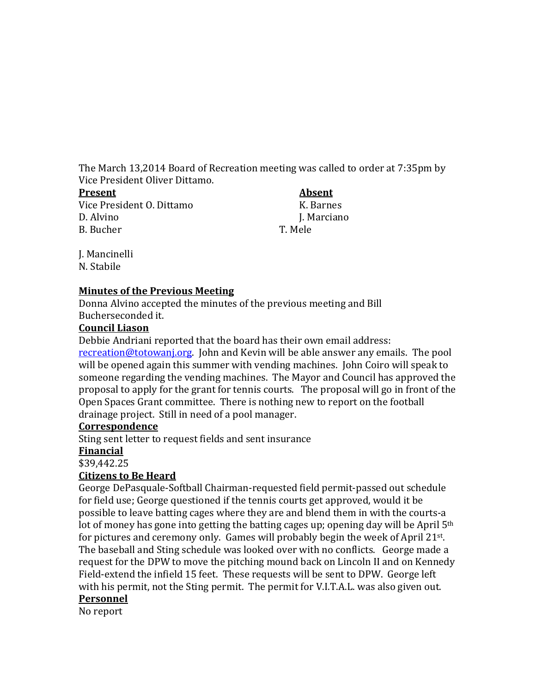The March 13,2014 Board of Recreation meeting was called to order at 7:35pm by Vice President Oliver Dittamo.<br>Present

Vice President O. Dittamo K. Barnes<br>D. Alvino K. Barnes<br>L. Marciano D. Alvino J. Marciano J. Marciano J. Marciano J. Marciano J. Marciano J. Marciano J. Marciano J. Mele B. Bucher T. Mele

**Absent** 

J. Mancinelli N. Stabile

## **Minutes of the Previous Meeting**

Donna Alvino accepted the minutes of the previous meeting and Bill Bucherseconded it.

#### **Council Liason**

Debbie Andriani reported that the board has their own email address:

[recreation@totowanj.org.](mailto:recreation@totowanj.org) John and Kevin will be able answer any emails. The pool will be opened again this summer with vending machines. John Coiro will speak to someone regarding the vending machines. The Mayor and Council has approved the proposal to apply for the grant for tennis courts. The proposal will go in front of the Open Spaces Grant committee. There is nothing new to report on the football drainage project. Still in need of a pool manager.

#### **Correspondence**

Sting sent letter to request fields and sent insurance

#### **Financial**

\$39,442.25

## **Citizens to Be Heard**

George DePasquale-Softball Chairman-requested field permit-passed out schedule for field use; George questioned if the tennis courts get approved, would it be possible to leave batting cages where they are and blend them in with the courts-a lot of money has gone into getting the batting cages up; opening day will be April  $5<sup>th</sup>$ for pictures and ceremony only. Games will probably begin the week of April 21st. The baseball and Sting schedule was looked over with no conflicts. George made a request for the DPW to move the pitching mound back on Lincoln II and on Kennedy Field-extend the infield 15 feet. These requests will be sent to DPW. George left with his permit, not the Sting permit. The permit for V.I.T.A.L. was also given out.

# **Personnel**

No report